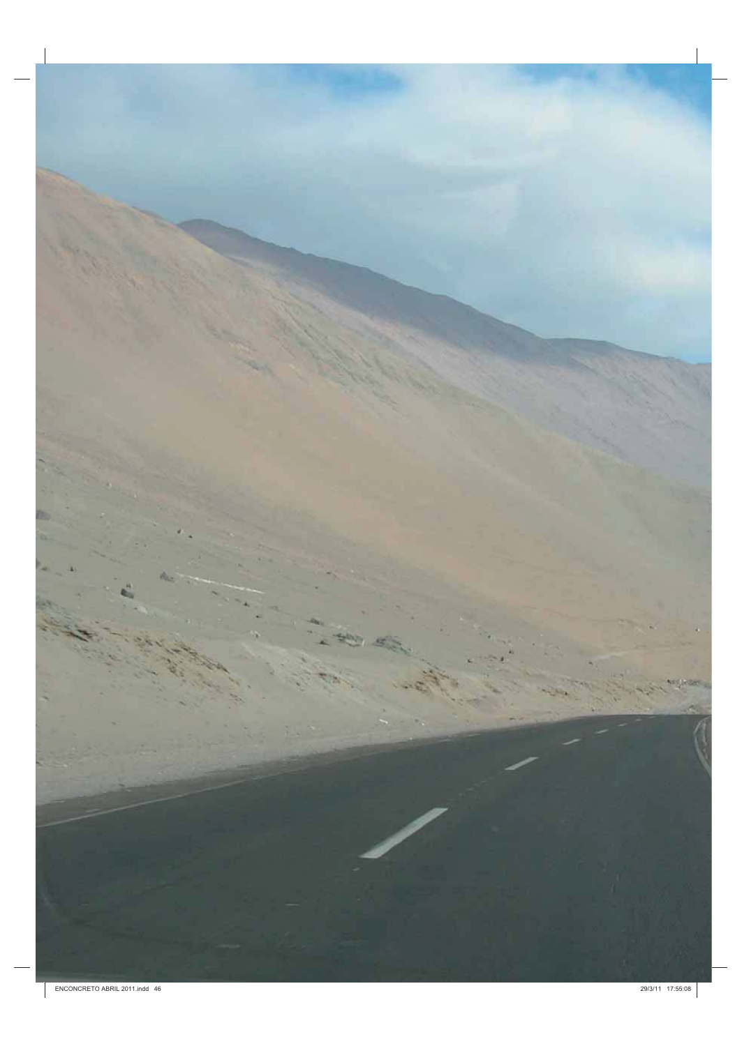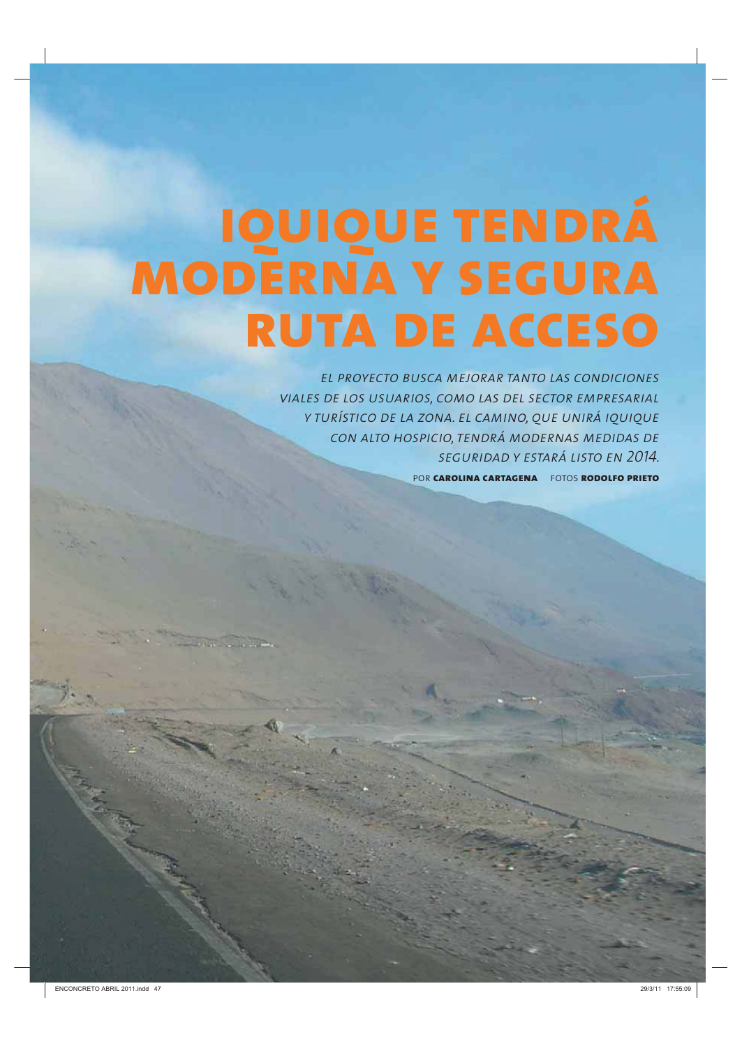## **IQUIQUE TENDRÁ MODERNAYSEGURA RUTADEACCESO**

*ELPROYECTOBUSCAMEJORARTANTOLASCONDICIONES* VIALES DE LOS USUARIOS, COMO LAS DEL SECTOR EMPRESARIAL Y TURÍSTICO DE LA ZONA. EL CAMINO, QUE UNIRÁ IQUIQUE **CON ALTO HOSPICIO, TENDRÁ MODERNAS MEDIDAS DE SEGURIDAD Y ESTARÁ LISTO EN 2014.** 

POR **CAROLINA CARTAGENA** FOTOS **RODOLFO PRIETO**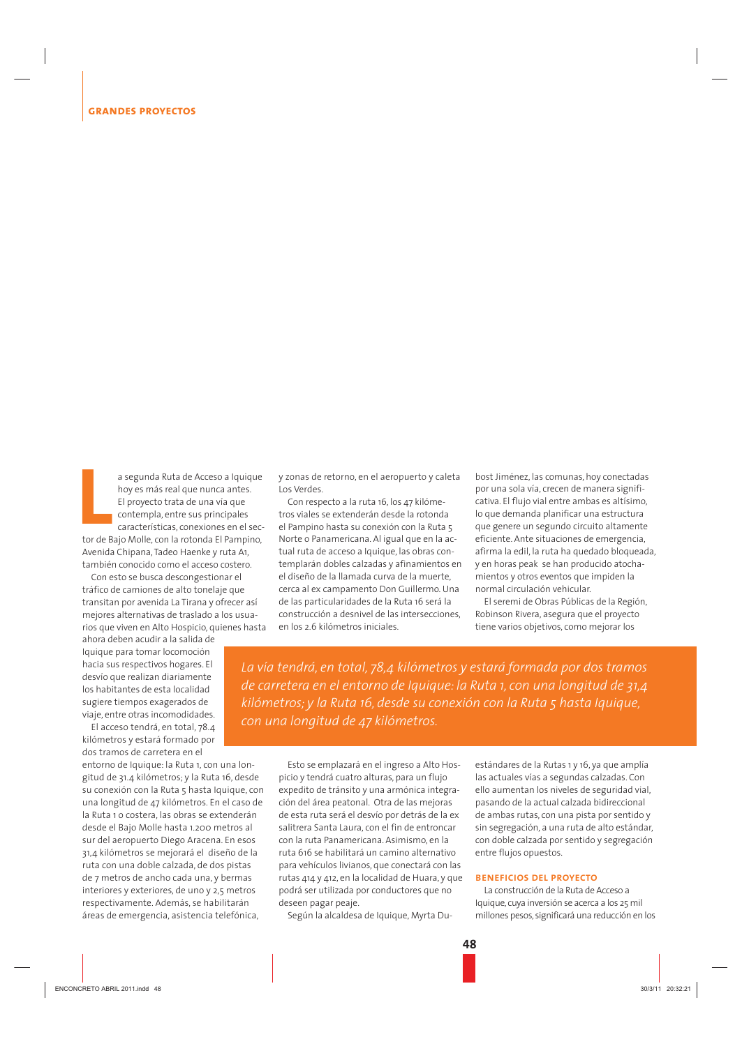## **GRANDES PROYECTOS**

a segunda Ruta de Acceso a Iquique hoy es más real que nunca antes. El proyecto trata de una vía que contempla, entre sus principales características, conexiones en el sector de Bajo Molle, con la rotonda El Pampino, Avenida Chipana, Tadeo Haenke y ruta A1, también conocido como el acceso costero.

Con esto se busca descongestionar el tráfico de camiones de alto tonelaje que transitan por avenida La Tirana y ofrecer así mejores alternativas de traslado a los usuarios que viven en Alto Hospicio, quienes hasta

ahora deben acudir a la salida de Iquique para tomar locomoción hacia sus respectivos hogares. El desvío que realizan diariamente los habitantes de esta localidad sugiere tiempos exagerados de viaje, entre otras incomodidades.

El acceso tendrá, en total, 78.4 kilómetros y estará formado por dos tramos de carretera en el

entorno de Iquique: la Ruta 1, con una longitud de 31.4 kilómetros; y la Ruta 16, desde su conexión con la Ruta 5 hasta Iquique, con una longitud de 47 kilómetros. En el caso de la Ruta 10 costera, las obras se extenderán desde el Bajo Molle hasta 1.200 metros al sur del aeropuerto Diego Aracena. En esos 31,4 kilómetros se mejorará el diseño de la ruta con una doble calzada, de dos pistas de 7 metros de ancho cada una, y bermas interiores y exteriores, de uno y 2,5 metros respectivamente. Además, se habilitarán áreas de emergencia, asistencia telefónica,

y zonas de retorno, en el aeropuerto y caleta Los Verdes.

Con respecto a la ruta 16, los 47 kilómetros viales se extenderán desde la rotonda el Pampino hasta su conexión con la Ruta 5 Norte o Panamericana. Al igual que en la actual ruta de acceso a Iguigue, las obras contemplarán dobles calzadas y afinamientos en el diseño de la llamada curva de la muerte. cerca al ex campamento Don Guillermo. Una de las particularidades de la Ruta 16 será la construcción a desnivel de las intersecciones, en los 2.6 kilómetros iniciales.

bost Jiménez, las comunas, hoy conectadas por una sola vía, crecen de manera significativa. El flujo vial entre ambas es altísimo, lo que demanda planificar una estructura que genere un segundo circuito altamente eficiente. Ante situaciones de emergencia, afirma la edil, la ruta ha quedado bloqueada, y en horas peak se han producido atochamientos y otros eventos que impiden la normal circulación vehicular.

El seremi de Obras Públicas de la Región, Robinson Rivera, asegura que el provecto tiene varios objetivos, como mejorar los

La vía tendrá, en total, 78,4 kilómetros y estará formada por dos tramos de carretera en el entorno de Iquique: la Ruta 1, con una longitud de 31,4 kilómetros; y la Ruta 16, desde su conexión con la Ruta 5 hasta Iquique, con una longitud de 47 kilómetros.

48

Esto se emplazará en el ingreso a Alto Hospicio y tendrá cuatro alturas, para un flujo expedito de tránsito y una armónica integración del área peatonal. Otra de las mejoras de esta ruta será el desvío por detrás de la ex salitrera Santa Laura, con el fin de entroncar con la ruta Panamericana. Asimismo, en la ruta 616 se habilitará un camino alternativo para vehículos livianos, que conectará con las rutas 414 y 412, en la localidad de Huara, y que podrá ser utilizada por conductores que no deseen pagar peaje.

Según la alcaldesa de Iquique, Myrta Du-

estándares de la Rutas 1 y 16, ya que amplía las actuales vías a segundas calzadas. Con ello aumentan los niveles de seguridad vial, pasando de la actual calzada bidireccional de ambas rutas, con una pista por sentido y sin segregación, a una ruta de alto estándar, con doble calzada por sentido y segregación entre flujos opuestos.

## **BENEFICIOS DEL PROYECTO**

La construcción de la Ruta de Acceso a Iquique, cuya inversión se acerca a los 25 mil millones pesos, significará una reducción en los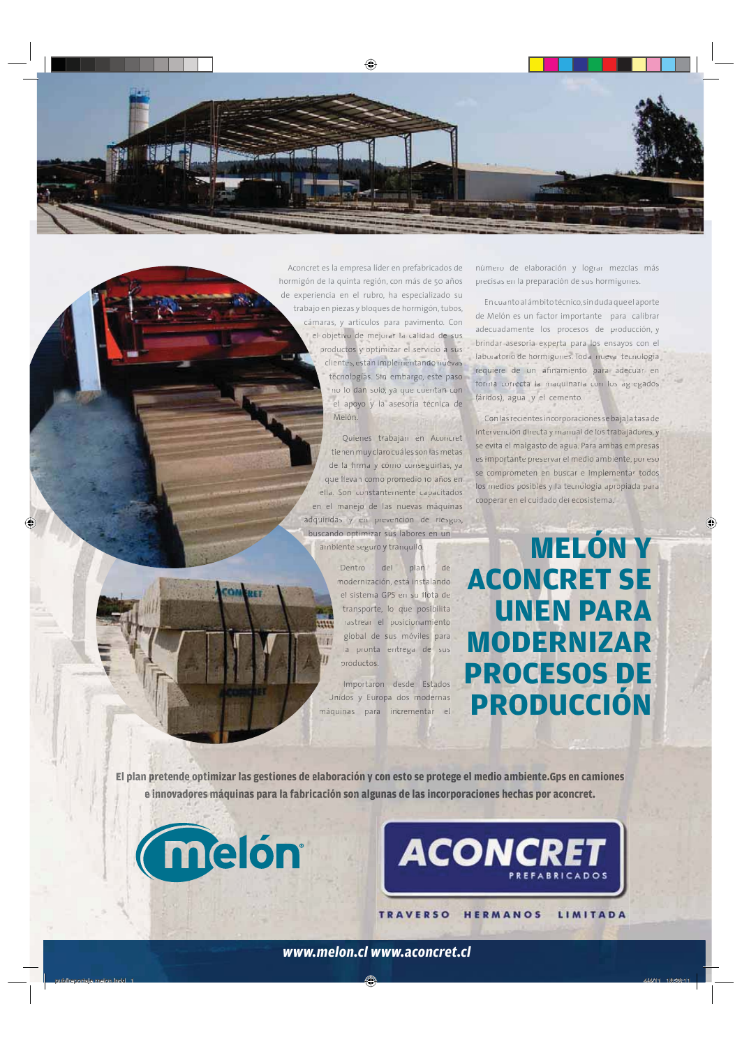

Aconcret es la empresa líder en prefabricados de hormigón de la quinta región, con más de 50 años de experiencia en el rubro, ha especializado su trabajo en piezas y bloques de hormigón, tubos, cámaras, y artículos para pavimento. Con el objetivo de mejorar la calidad de sus productos y optimizar el servicio a sus clientes, están implementando nuevas tecnologías. Sin embargo, este paso no lo dan solo, ya que cuentan con el apoyo y la asesoría técnica de Melón.

> Quienes trabajan en Aconcret tienen muy claro cuáles son las metas de la firma y cómo conseguirlas, ya que llevan como promedio 10 años en ella. Son constantemente capacitados en el manejo de las nuevas máquinas adquiridas y en prevención de riesgos, buscando optimizar sus labores en un ambiente seguro y tranquilo.

> > Dentro del plan de modernización, está instalando el sistema GPS en su flota de transporte, lo que posibilita rastrear el posicionamiento global de sus móviles para la pronta entrega de sus productos

Importaron desde Estados Unidos y Europa dos modernas máquinas para incrementar el número de elaboración y lograr mezclas más precisas en la preparación de sus hormigones.

En cuanto al ámbito técnico, sin duda que el aporte de Melón es un factor importante para calibrar adecuadamente los procesos de producción, y brindar asesoría experta para los ensayos con el laboratorio de hormigones. Toda nueva tecnología requiere de un afinamiento para adecuar en forma correcta la maquinaria con los agregados (áridos), agua y el cemento.

Con las recientes incorporaciones se baja la tasa de intervención directa y manual de los trabajadores, y se evita el malgasto de agua. Para ambas empresas es importante preservar el medio ambiente, por eso se comprometen en buscar e implementar todos los medios posibles y la tecnología apropiada para cooperar en el cuidado del ecosistema.

**MELÓN Y ACONCRET SE UNEN PARA MODERNIZAR PROCESOS DE PRODUCCIÓN** 

LIMITADA

El plan pretende optimizar las gestiones de elaboración y con esto se protege el medio ambiente. Gps en camiones e innovadores máquinas para la fabricación son algunas de las incorporaciones hechas por aconcret.





TRAVERSO HERMANOS

www.melon.cl www.aconcret.cl

◈